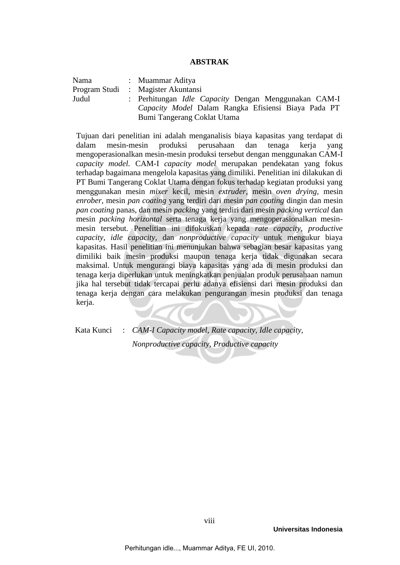## **ABSTRAK**

Nama : Muammar Aditya Program Studi : Magister Akuntansi Judul : Perhitungan *Idle Capacity* Dengan Menggunakan CAM-I *Capacity Model* Dalam Rangka Efisiensi Biaya Pada PT Bumi Tangerang Coklat Utama

Tujuan dari penelitian ini adalah menganalisis biaya kapasitas yang terdapat di dalam mesin-mesin produksi perusahaan dan tenaga kerja yang mengoperasionalkan mesin-mesin produksi tersebut dengan menggunakan CAM-I *capacity model.* CAM-I *capacity model* merupakan pendekatan yang fokus terhadap bagaimana mengelola kapasitas yang dimiliki. Penelitian ini dilakukan di PT Bumi Tangerang Coklat Utama dengan fokus terhadap kegiatan produksi yang menggunakan mesin *mixer* kecil, mesin *extruder,* mesin *oven drying,* mesin *enrober,* mesin *pan coating* yang terdiri dari mesin *pan coating* dingin dan mesin *pan coating* panas, dan mesin *packing* yang terdiri dari mesin *packing vertical* dan mesin *packing horizontal* serta tenaga kerja yang mengoperasionalkan mesinmesin tersebut*.* Penelitian ini difokuskan kepada *rate capacity, productive capacity, idle capacity,* dan *nonproductive capacity* untuk mengukur biaya kapasitas. Hasil penelitian ini menunjukan bahwa sebagian besar kapasitas yang dimiliki baik mesin produksi maupun tenaga kerja tidak digunakan secara maksimal. Untuk mengurangi biaya kapasitas yang ada di mesin produksi dan tenaga kerja diperlukan untuk meningkatkan penjualan produk perusahaan namun jika hal tersebut tidak tercapai perlu adanya efisiensi dari mesin produksi dan tenaga kerja dengan cara melakukan pengurangan mesin produksi dan tenaga kerja.

Kata Kunci : *CAM-I Capacity model, Rate capacity, Idle capacity, Nonproductive capacity, Productive capacity*

**Universitas Indonesia**